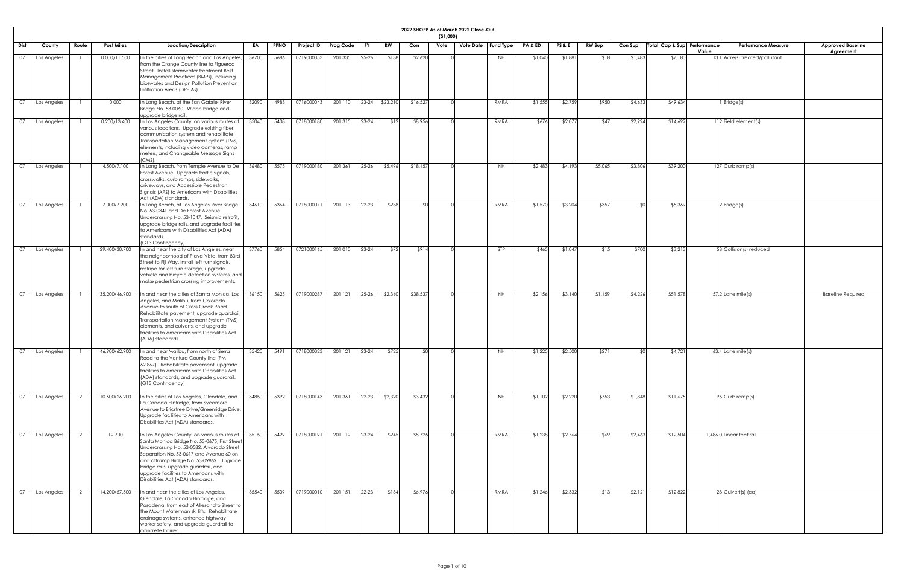|             |             |              |                   |                                                                                                                                                                                                                                                                                                                                                        |           |             |                   |                  |           |                |            | ( \$1,000)  | 2022 SHOPP As of March 2022 Close-Out |            |                    |                 |               |                |                             |                                    |                                              |
|-------------|-------------|--------------|-------------------|--------------------------------------------------------------------------------------------------------------------------------------------------------------------------------------------------------------------------------------------------------------------------------------------------------------------------------------------------------|-----------|-------------|-------------------|------------------|-----------|----------------|------------|-------------|---------------------------------------|------------|--------------------|-----------------|---------------|----------------|-----------------------------|------------------------------------|----------------------------------------------|
| <u>Dist</u> | County      | <u>Route</u> | <u>Post Miles</u> | Location/Description                                                                                                                                                                                                                                                                                                                                   | <u>EA</u> | <b>PPNO</b> | <b>Project ID</b> | <b>Prog Code</b> | <u>FY</u> | <u>RW</u>      | <u>Con</u> | <u>Vote</u> | <u>Vote Date   Fund Type</u>          |            | <b>PA &amp; ED</b> | <u>PS&amp;E</u> | <b>RW Sup</b> | <b>Con Sup</b> | Total Cap & Sup Performance | <b>Perfomance Measure</b><br>Value | <b>Approved Baseline</b><br><b>Agreement</b> |
| 07          | Los Angeles |              | 0.000/11.500      | In the cities of Long Beach and Los Angeles,<br>from the Orange County line to Figueroa<br>Street. Install stormwater treatment Best<br>Management Practices (BMPs), including<br>bioswales and Design Pollution Prevention<br>Infiltration Areas (DPPIAs).                                                                                            | 36700     | 5686        | 0719000353        | 201.335          | $25 - 26$ | \$138          | \$2,620    |             |                                       | <b>NH</b>  | \$1,040            | \$1,881         | \$18          | \$1,483        | \$7,180                     | 13.1 Acre(s) treated/pollutant     |                                              |
| 07          | Los Angeles |              | 0.000             | In Long Beach, at the San Gabriel River<br>Bridge No. 53-0060. Widen bridge and<br>upgrade bridge rail.                                                                                                                                                                                                                                                | 32090     | 4983        | 0716000043        | 201.110          |           | 23-24 \$23,210 | \$16,527   |             |                                       | RMRA       | \$1,555            | \$2,759         | \$950         | \$4,633        | \$49,634                    | $1$ Bridge(s)                      |                                              |
| 07          | Los Angeles |              | 0.200/13.400      | In Los Angeles County, on various routes at<br>various locations. Upgrade existing fiber<br>communication system and rehabilitate<br>Transportation Management System (TMS)<br>elements, including video cameras, ramp<br>meters, and Changeable Message Signs<br>$(CMS)$ .                                                                            | 35040     | 5408        | 0718000180        | 201.315          | $23 - 24$ | \$12           | \$8,956    |             |                                       | RMRA       | \$676              | \$2,077         | \$47          | \$2,924        | \$14,692                    | 112 Field element(s)               |                                              |
| 07          | Los Angeles |              | 4.500/7.100       | In Long Beach, from Temple Avenue to De<br>Forest Avenue. Upgrade traffic signals,<br>crosswalks, curb ramps, sidewalks,<br>driveways, and Accessible Pedestrian<br>Signals (APS) to Americans with Disabilities<br>Act (ADA) standards.                                                                                                               | 36480     | 5575        | 0719000180        | 201.361          | $25 - 26$ | \$5,496        | \$18,157   |             |                                       | <b>NH</b>  | \$2,483            | \$4,193         | \$5,065       | \$3,806        | \$39,200                    | $127$ Curb ramp(s)                 |                                              |
| 07          | Los Angeles |              | 7.000/7.200       | In Long Beach, at Los Angeles River Bridge<br>No. 53-0341 and De Forest Avenue<br>Undercrossing No. 53-1047. Seismic retrofit,<br>upgrade bridge rails, and upgrade facilities<br>to Americans with Disabilities Act (ADA)<br>standards.<br>(G13 Contingency)                                                                                          | 34610     | 5364        | 0718000071        | 201.113          | $22 - 23$ | \$238          | - ⊄∩       |             |                                       | RMRA       | \$1,570            | \$3,204         | \$357         | ו∩≯            | \$5,369                     | $2$ Bridge $(s)$                   |                                              |
| 07          | Los Angeles |              | 29.400/30.700     | In and near the city of Los Angeles, near<br>the neighborhood of Playa Vista, from 83rd<br>Street to Fiji Way. Install left turn signals,<br>restripe for left turn storage, upgrade<br>vehicle and bicycle detection systems, and<br>make pedestrian crossing improvements.                                                                           | 37760     | 5854        | 0721000165        | 201.010          | $23 - 24$ | \$72           | \$914      |             |                                       | <b>STP</b> | \$465              | \$1,047         | \$1.5         | \$700          | \$3,213                     | 58 Collision(s) reduced            |                                              |
| 07          | Los Angeles |              | 35.200/46.900     | In and near the cities of Santa Monica, Los<br>Angeles, and Malibu, from Colorado<br>Avenue to south of Cross Creek Road.<br>Rehabilitate pavement, upgrade guardrail,<br>Transportation Management System (TMS)<br>elements, and culverts, and upgrade<br>facilities to Americans with Disabilities Act<br>(ADA) standards.                           | 36150     | 5625        | 0719000287        | 201.121          | $25 - 26$ | \$2,360        | \$38,537   |             |                                       | <b>NH</b>  | \$2,156            | \$3,140         | \$1,159       | \$4,226        | \$51,578                    | $57.2$ Lane mile(s)                | <b>Baseline Required</b>                     |
| 07          | Los Angeles |              | 46.900/62.900     | In and near Malibu, from north of Serra<br>Road to the Ventura County line (PM<br>62.867). Rehabilitate pavement, upgrade<br>facilities to Americans with Disabilities Act<br>(ADA) standards, and upgrade guardrail.<br>(G13 Contingency)                                                                                                             | 35420     | 5491        | 0718000323        | 201.121          | $23 - 24$ | \$725          | . የ        |             |                                       | <b>NH</b>  | \$1,225            | \$2,500         | \$271         | SOI            | \$4,721                     | $63.4$ Lane mile(s)                |                                              |
| 07          | Los Angeles |              | 10.600/26.200     | In the cities of Los Angeles, Glendale, and<br>La Canada Flintridge, from Sycamore<br>Avenue to Briartree Drive/Greenridge Drive.<br>Upgrade facilities to Americans with<br>Disabilities Act (ADA) standards.                                                                                                                                         | 34850     | 5392        | 0718000143        | 201.361          | $22 - 23$ | \$2,320        | \$3,432    |             |                                       | <b>NH</b>  | \$1,102            | \$2,220         | \$753         | \$1,848        | \$11,675                    | $\sqrt{95}$ Curb ramp(s)           |                                              |
| 07          | Los Angeles |              | 12.700            | In Los Angeles County, on various routes at<br>Santa Monica Bridge No. 53-0675, First Street<br>Undercrossing No. 53-0582, Alvarado Street<br>Separation No. 53-0617 and Avenue 60 on<br>and offramp Bridge No. 53-0986S. Upgrade<br>bridge rails, upgrade guardrail, and<br>upgrade facilities to Americans with<br>Disabilities Act (ADA) standards. | 35150     | 5429        | 0718000191        | 201.112          | $23 - 24$ | \$245          | \$5,725    |             |                                       | RMRA       | \$1,238            | \$2,764         | \$69          | \$2,463        | \$12,504                    | 1,486.0 Linear feet rail           |                                              |
| 07          | Los Angeles |              | 14.200/57.500     | In and near the cities of Los Angeles,<br>Glendale, La Canada Flintridge, and<br>Pasadena, from east of Allesandro Street to<br>the Mount Waterman ski lifts. Rehabilitate<br>drainage systems, enhance highway<br>worker safety, and upgrade guardrail to<br>concrete barrier.                                                                        | 35540     | 5509        | 0719000010        | 201.151          | $22 - 23$ | \$134          | \$6,976    |             |                                       | RMRA       | \$1,246            | \$2,332         | \$13          | \$2,121        | \$12,822                    | 28 Culvert(s) (ea)                 |                                              |

| <u>ine</u>              |  |  |
|-------------------------|--|--|
|                         |  |  |
|                         |  |  |
|                         |  |  |
|                         |  |  |
|                         |  |  |
|                         |  |  |
|                         |  |  |
|                         |  |  |
|                         |  |  |
|                         |  |  |
|                         |  |  |
|                         |  |  |
|                         |  |  |
|                         |  |  |
|                         |  |  |
|                         |  |  |
|                         |  |  |
|                         |  |  |
|                         |  |  |
|                         |  |  |
| $\overline{\mathsf{d}}$ |  |  |
|                         |  |  |
|                         |  |  |
|                         |  |  |
|                         |  |  |
|                         |  |  |
|                         |  |  |
|                         |  |  |
|                         |  |  |
|                         |  |  |
|                         |  |  |
|                         |  |  |
|                         |  |  |
|                         |  |  |
|                         |  |  |
|                         |  |  |
|                         |  |  |
|                         |  |  |
|                         |  |  |
|                         |  |  |
|                         |  |  |
|                         |  |  |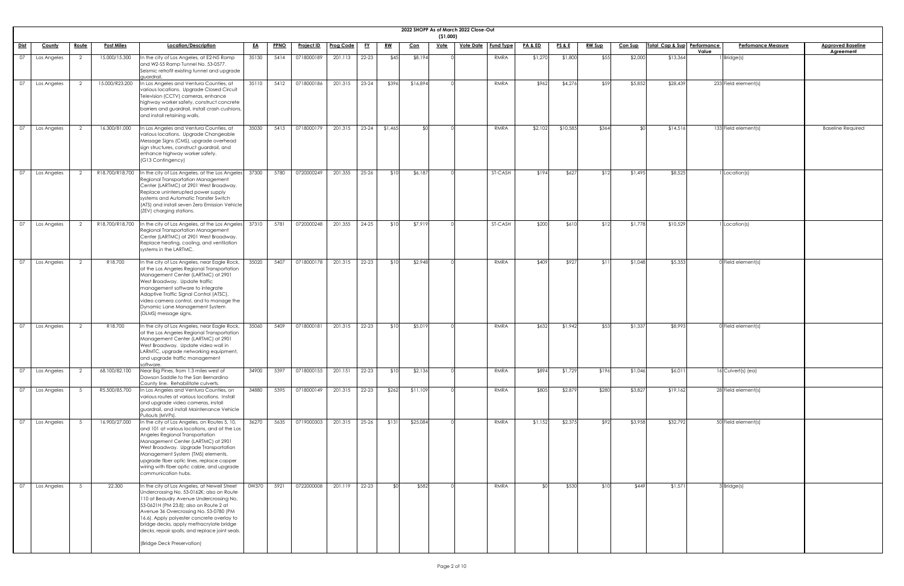|                 |               |                |                   |                                                                                                                                                                                                                                                                                                                                                                                                   |           |             |                   |                  |           |                                                | 2022 SHOPP As of March 2022 Close-Out | ( \$1,000)  |                  |                  |                    |                 |               |                |                             |       |                                   |                                       |
|-----------------|---------------|----------------|-------------------|---------------------------------------------------------------------------------------------------------------------------------------------------------------------------------------------------------------------------------------------------------------------------------------------------------------------------------------------------------------------------------------------------|-----------|-------------|-------------------|------------------|-----------|------------------------------------------------|---------------------------------------|-------------|------------------|------------------|--------------------|-----------------|---------------|----------------|-----------------------------|-------|-----------------------------------|---------------------------------------|
| Dist            | <b>County</b> | Route          | <b>Post Miles</b> | <u>Location/Description</u>                                                                                                                                                                                                                                                                                                                                                                       | <u>EA</u> | <b>PPNO</b> | <u>Project ID</u> | <b>Prog Code</b> | <u>FY</u> | $\underline{\mathbf{R}}\underline{\mathbf{W}}$ | <u>Con</u>                            | <u>Vote</u> | <u>Vote Date</u> | <b>Fund Type</b> | <b>PA &amp; ED</b> | <u>PS&amp;E</u> | <b>RW Sup</b> | <u>Con Sup</u> | Total Cap & Sup Performance | Value | <b>Perfomance Measure</b>         | <b>Approved Baseline</b><br>Agreement |
| 07              | Los Angeles   | 2              | 15.000/15.300     | In the city of Los Angeles, at E2-N5 Ramp<br>and W2-S5 Ramp Tunnel No. 53-0577.<br>Seismic retrofit existing tunnel and upgrade<br>quardrail.                                                                                                                                                                                                                                                     | 35130     | 5414        | 0718000189        | 201.113          | $22 - 23$ | \$45                                           | \$8,194                               |             |                  | RMRA             | \$1,270            | \$1,800         | \$55          | \$2,000        | \$13,364                    |       | Bridge(s)                         |                                       |
| 07              | Los Angeles   | $\overline{2}$ | 15.000/R23.200    | In Los Angeles and Ventura Counties, at<br>various locations. Upgrade Closed Circuit<br>Television (CCTV) cameras, enhance<br>highway worker safety, construct concrete<br>barriers and guardrail, install crash cushions<br>and install retaining walls.                                                                                                                                         | 35110     | 5412        | 0718000186        | 201.315          | $23 - 24$ | \$396                                          | \$16,894                              |             |                  | RMRA             | \$962              | \$4,276         | \$59          | \$5,852        | \$28,439                    |       | $\overline{233}$ Field element(s) |                                       |
| 07              | Los Angeles   |                | 16.300/81.000     | In Los Angeles and Ventura Counties, at<br>various locations. Upgrade Changeable<br>Message Signs (CMS), upgrade overhead<br>sign structures, construct guardrail, and<br>enhance highway worker safety.<br>(G13 Contingency)                                                                                                                                                                     | 35030     | 5413        | 0718000179        | 201.315          | $23 - 24$ | \$1,465                                        |                                       |             |                  | RMRA             | \$2,102            | \$10,585        | \$364         |                | \$14,516                    |       | 133 Field element(s)              | <b>Baseline Required</b>              |
| 07              | Los Angeles   |                | R18.700/R18.700   | In the city of Los Angeles, at the Los Angeles<br>Regional Transportation Management<br>Center (LARTMC) at 2901 West Broadway.<br>Replace uninterrupted power supply<br>systems and Automatic Transfer Switch<br>(ATS) and install seven Zero Emission Vehicle<br>(ZEV) charging stations.                                                                                                        | 37300     | 5780        | 0720000249        | 201.355          | 25-26     | \$10                                           | \$6,187                               |             |                  | ST-CASH          | \$194              | \$627           | \$12          | \$1,495        | \$8,525                     |       | Location(s)                       |                                       |
| 07              | Los Angeles   |                | R18.700/R18.700   | In the city of Los Angeles, at the Los Angeles<br>Regional Transportation Management<br>Center (LARTMC) at 2901 West Broadway.<br>Replace heating, cooling, and ventilation<br>systems in the LARTMC.                                                                                                                                                                                             | 37310     | 5781        | 0720000248        | 201.355          | 24-25     | \$10                                           | \$7,919                               |             |                  | ST-CASH          | \$200              | \$610           | \$12          | \$1,778        | \$10,529                    |       | Location(s)                       |                                       |
| $\overline{07}$ | Los Angeles   | 2              | R18.700           | In the city of Los Angeles, near Eagle Rock,<br>at the Los Angeles Regional Transportation<br>Management Center (LARTMC) at 2901<br>West Broadway. Update traffic<br>management software to integrate<br>Adaptive Traffic Signal Control (ATSC),<br>video camera control, and to manage the<br>Dynamic Lane Management System<br>(DLMS) message signs.                                            | 35020     | 5407        | 0718000178        | 201.315          | 22-23     | \$10                                           | \$2,948                               |             |                  | RMRA             | \$409              | \$927           | \$11          | \$1,048        | \$5,353                     |       | 0 Field element(s)                |                                       |
| 07              | Los Angeles   | $\overline{2}$ | R18.700           | In the city of Los Angeles, near Eagle Rock,<br>at the Los Angeles Regional Transportation<br>Management Center (LARTMC) at 2901<br>West Broadway. Update video wall in<br>LARMTC, upgrade networking equipment,<br>and upgrade traffic management<br>software.                                                                                                                                   | 35060     | 5409        | 071800018         | 201.315          | $22 - 23$ | \$10                                           | \$5,019                               |             |                  | RMRA             | \$632              | \$1,942         | \$53          | \$1,337        | \$8,993                     |       | 0 Field element(s)                |                                       |
| $\overline{07}$ | Los Angeles   |                | 68.100/82.100     | Near Big Pines, from 1.3 miles west of<br>Dawson Saddle to the San Bernardino                                                                                                                                                                                                                                                                                                                     | 34900     | 5397        | 0718000155        | 201.151          | $22 - 23$ | \$10                                           | \$2,136                               |             |                  | RMRA             | \$894              | \$1,729         | \$196         | \$1,046        | \$6,011                     |       | 16 Culvert(s) (ea)                |                                       |
| $\overline{07}$ | Los Angeles   |                | R5.500/85.700     | County line. Rehabilitate culverts.<br>In Los Angeles and Ventura Counties, on<br>various routes at various locations. Install<br>and upgrade video cameras, install<br>guardrail, and install Maintenance Vehicle<br>Pullouts (MVPs).                                                                                                                                                            | 34880     | 5395        | 0718000149        | 201.315          | 22-23     | \$262                                          | \$11,109                              |             |                  | RMRA             | \$805              | \$2,879         | \$280         | \$3,827        | \$19,162                    |       | 28 Field element(s)               |                                       |
| $\overline{07}$ | Los Angeles   |                | 16.900/27.000     | In the city of Los Angeles, on Routes 5, 10,<br>and 101 at various locations, and at the Los<br>Angeles Regional Transportation<br>Management Center (LARTMC) at 2901<br>West Broadway. Upgrade Transportation<br>Management System (TMS) elements,<br>upgrade fiber optic lines, replace copper<br>wiring with fiber optic cable, and upgrade<br>communication hubs.                             | 36270     | 5635        | 0719000303        | 201.315          | $25 - 26$ | \$131                                          | \$25,084                              |             |                  | RMRA             | \$1,152            | \$2,375         | \$92          | \$3,958        | \$32,792                    |       | 50 Field element(s)               |                                       |
| 07              | Los Angeles   |                | 22.300            | In the city of Los Angeles, at Newell Street<br>Undercrossing No. 53-0162K; also on Route<br>110 at Beaudry Avenue Undercrossing No.<br>53-0621H (PM 23.8); also on Route 2 at<br>Avenue 36 Overcrossing No. 53-0780 (PM<br>16.6). Apply polyester concrete overlay to<br>bridge decks, apply methacrylate bridge<br>decks, repair spalls, and replace joint seals.<br>(Bridge Deck Preservation) | 0W370     | 5921        | 0722000008        | 201.119          | $22 - 23$ | \$0                                            | \$582                                 |             |                  | RMRA             |                    | \$530           | \$10          | \$449          | \$1,571                     |       | 3 Bridge(s)                       |                                       |

| <u>ine</u>               |  |
|--------------------------|--|
|                          |  |
|                          |  |
|                          |  |
|                          |  |
|                          |  |
|                          |  |
| $\overline{\mathsf{ed}}$ |  |
|                          |  |
|                          |  |
|                          |  |
|                          |  |
|                          |  |
|                          |  |
|                          |  |
|                          |  |
|                          |  |
|                          |  |
|                          |  |
|                          |  |
|                          |  |
|                          |  |
|                          |  |
|                          |  |
|                          |  |
|                          |  |
|                          |  |
|                          |  |
|                          |  |
|                          |  |
|                          |  |
|                          |  |
|                          |  |
|                          |  |
|                          |  |
|                          |  |
|                          |  |
|                          |  |
|                          |  |
|                          |  |
|                          |  |
|                          |  |
|                          |  |
|                          |  |
|                          |  |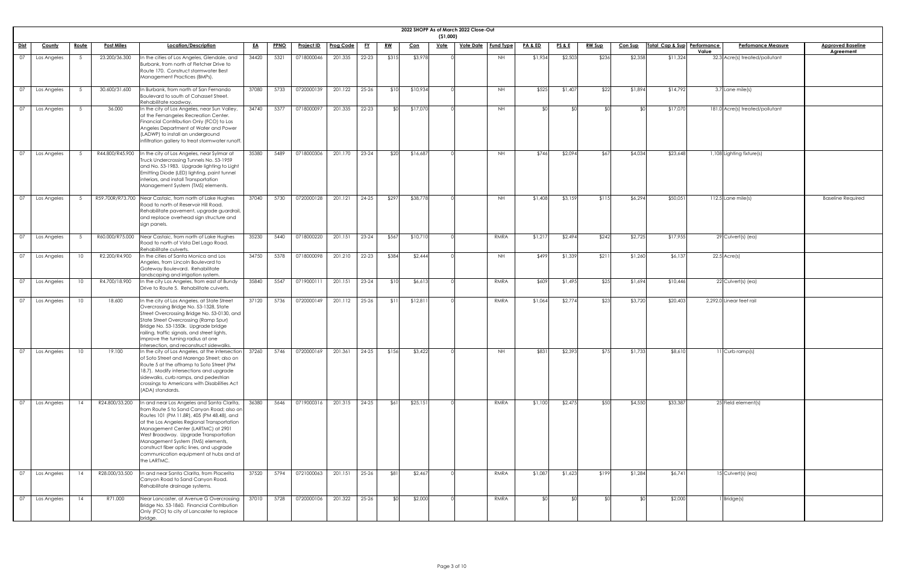|                                                                         |             |                 |                   |                                                                                                                                                                                                                                                                                                                                                                                                              |           |             |            |                  |           |           |            | (51,000)    | 2022 SHOPP As of March 2022 Close-Out |                  |                    |                 |               |                |                             |                                         |                          |
|-------------------------------------------------------------------------|-------------|-----------------|-------------------|--------------------------------------------------------------------------------------------------------------------------------------------------------------------------------------------------------------------------------------------------------------------------------------------------------------------------------------------------------------------------------------------------------------|-----------|-------------|------------|------------------|-----------|-----------|------------|-------------|---------------------------------------|------------------|--------------------|-----------------|---------------|----------------|-----------------------------|-----------------------------------------|--------------------------|
| Dist                                                                    | County      | <u>Route</u>    | <b>Post Miles</b> | Location/Description                                                                                                                                                                                                                                                                                                                                                                                         | <u>EA</u> | <b>PPNO</b> | Project ID | <b>Prog Code</b> | <u>FY</u> | <u>RW</u> | <u>Con</u> | <u>Vote</u> | <b>Vote Date</b>                      | <b>Fund Type</b> | <u>PA &amp; ED</u> | <u>PS&amp;E</u> | <b>RW Sup</b> | <b>Con Sup</b> | Total Cap & Sup Performance | <b>Perfomance Measure</b>               | <b>Approved Baseline</b> |
| $\overline{07}$                                                         | Los Angeles |                 | 23.200/36.300     | In the cities of Los Angeles, Glendale, and<br>Burbank, from north of Fletcher Drive to<br>Route 170. Construct stormwater Best<br>Management Practices (BMPs).                                                                                                                                                                                                                                              | 34420     | 5321        | 0718000046 | 201.335          | $22 - 23$ | \$315     | \$3,978    |             |                                       | <b>NH</b>        | \$1,934            | \$2,503         | \$236         | \$2,358        | \$11,324                    | Value<br>32.3 Acre(s) treated/pollutant | <b>Agreement</b>         |
| $\overline{07}$                                                         | Los Angeles |                 | 30.600/31.600     | In Burbank, from north of San Fernando<br>Boulevard to south of Cohasset Street.<br>Rehabilitate roadway.                                                                                                                                                                                                                                                                                                    | 37080     | 5733        | 0720000139 | 201.122          | $25 - 26$ | \$10      | \$10,934   |             |                                       | <b>NH</b>        | \$525              | \$1,407         | \$22          | \$1,894        | \$14,792                    | $3.7$ Lane mile(s)                      |                          |
| $\overline{07}$                                                         | Los Angeles |                 | 36.000            | In the city of Los Angeles, near Sun Valley,<br>at the Fernangeles Recreation Center.<br>Financial Contribution Only (FCO) to Los<br>Angeles Department of Water and Power<br>(LADWP) to install an underground<br>infiltration gallery to treat stormwater runoff.                                                                                                                                          | 34740     | 5377        | 0718000097 | 201.335          | $22 - 23$ | _ ⊄∩      | \$17,070   |             |                                       | <b>NH</b>        | <b>\$0</b>         | ו∩≯             |               | ו∩≯            | \$17,070                    | 181.0 Acre(s) treated/pollutant         |                          |
| $\overline{07}$                                                         | Los Angeles |                 | R44.800/R45.900   | In the city of Los Angeles, near Sylmar at<br>Truck Undercrossing Tunnels No. 53-1959<br>and No. 53-1983. Upgrade lighting to Light<br>Emitting Diode (LED) lighting, paint tunnel<br>interiors, and install Transportation<br>Management System (TMS) elements.                                                                                                                                             | 35380     | 5489        | 0718000306 | 201.170          | $23 - 24$ | \$20      | \$16,687   |             |                                       | <b>NH</b>        | \$746              | \$2,094         | \$67          | \$4,034        | \$23,648                    | 1,108 Lighting fixture(s)               |                          |
| $\overline{07}$                                                         | Los Angeles |                 |                   | R59.700R/R73.700 Near Castaic, from north of Lake Hughes<br>Road to north of Reservoir Hill Road.<br>Rehabilitate pavement, upgrade guardrail,<br>and replace overhead sign structure and<br>sign panels.                                                                                                                                                                                                    | 37040     | 5730        | 0720000128 | 201.121          | 24-25     | \$297     | \$38,778   |             |                                       | <b>NH</b>        | \$1,408            | \$3,159         | \$115         | \$6,294        | \$50,051                    | $112.5$ Lane mile(s)                    | <b>Baseline Required</b> |
| $\overline{07}$                                                         | Los Angeles |                 | R60.000/R75.000   | Near Castaic, from north of Lake Hughes<br>Road to north of Vista Del Lago Road.<br>Rehabilitate culverts.                                                                                                                                                                                                                                                                                                   | 35230     | 5440        | 0718000220 | 201.151          | $23 - 24$ | \$567     | \$10,710   |             |                                       | RMRA             | \$1,217            | \$2,494         | \$242         | \$2,725        | \$17,955                    | $29$ Culvert(s) (ea)                    |                          |
| $\overline{07}$                                                         | Los Angeles | 10 <sup>°</sup> | R2.200/R4.900     | In the cities of Santa Monica and Los<br>Angeles, from Lincoln Boulevard to<br>Gateway Boulevard. Rehabilitate<br>landscaping and irrigation system.                                                                                                                                                                                                                                                         | 34750     | 5378        | 0718000098 | 201.210          | $22 - 23$ | \$384     | \$2,444    |             |                                       | NH               | \$499              | \$1,339         | \$211         | \$1,260        | \$6,137                     | $22.5$ Acre(s)                          |                          |
| 07                                                                      | Los Angeles | 10              | R4.700/18.900     | In the city Los Angeles, from east of Bundy<br>Drive to Route 5. Rehabilitate culverts.                                                                                                                                                                                                                                                                                                                      | 35840     | 5547        | 0719000111 | 201.151          | $23 - 24$ | \$10      | \$6,613    |             |                                       | RMRA             | \$609              | \$1,495         | \$25          | \$1,694        | \$10,446                    | $22$ Culvert(s) (ea)                    |                          |
| $\overline{07}$                                                         | Los Angeles | 10 <sup>1</sup> | 18.600            | In the city of Los Angeles, at State Street<br>Overcrossing Bridge No. 53-1328, State<br>Street Overcrossing Bridge No. 53-0130, and<br>State Street Overcrossing (Ramp Spur)<br>Bridge No. 53-1350k. Upgrade bridge<br>railing, traffic signals, and street lights,<br>improve the turning radius at one<br>intersection, and reconstruct sidewalks.                                                        | 37120     | 5736        | 0720000149 | 201.112          | 25-26     | \$11      | \$12,811   |             |                                       | RMRA             | \$1,064            | \$2,774         | \$23          | \$3,720        | \$20,403                    | 2,292.0 Linear feet rail                |                          |
| $\overline{07}$                                                         | Los Angeles | 10 <sup>1</sup> | 19.100            | In the city of Los Angeles, at the intersection<br>of Soto Street and Marengo Street; also on<br>Route 5 at the offramp to Soto Street (PM<br>18.7). Modify intersections and upgrade<br>sidewalks, curb ramps, and pedestrian<br>crossings to Americans with Disabilities Act<br>(ADA) standards.                                                                                                           | 37260     | 5746        | 0720000169 | 201.361          | $24 - 25$ | \$156     | \$3,422    |             |                                       | <b>NH</b>        | \$831              | \$2,393         | \$75          | \$1,733        | \$8,610                     | 11 Curb ramp(s)                         |                          |
| $\begin{array}{cc} \begin{array}{cc} \text{O7} \end{array} \end{array}$ | Los Angeles | 14              | R24.800/33.200    | In and near Los Angeles and Santa Clarita,<br>from Route 5 to Sand Canyon Road; also on<br>Routes 101 (PM 11.8R), 405 (PM 48.48), and<br>at the Los Angeles Regional Transportation<br>Management Center (LARTMC) at 2901<br>West Broadway. Upgrade Transportation<br>Management System (TMS) elements,<br>construct fiber optic lines, and upgrade<br>communication equipment at hubs and at<br>the LARTMC. | 36380     | 5646        | 0719000316 | 201.315          | $24 - 25$ | \$61]     | \$25,151   |             |                                       | RMRA             | \$1,100            | \$2,475         | \$50          | \$4,550        | \$33,387                    | 25 Field element(s)                     |                          |
| $\overline{07}$                                                         | Los Angeles | 14              | R28.000/33.500    | In and near Santa Clarita, from Placerita<br>Canyon Road to Sand Canyon Road.<br>Rehabilitate drainage systems.                                                                                                                                                                                                                                                                                              | 37520     | 5794        | 0721000063 | 201.151          | $25 - 26$ | \$81      | \$2,467    |             |                                       | RMRA             | \$1,087            | \$1,623         | \$199         | \$1,284        | \$6,741                     | $15$ Culvert(s) (ea)                    |                          |
| $\boxed{07}$                                                            | Los Angeles | 14              | R71.000           | Near Lancaster, at Avenue G Overcrossing<br>Bridge No. 53-1860. Financial Contribution<br>Only (FCO) to city of Lancaster to replace<br>bridge                                                                                                                                                                                                                                                               | 37010     | 5728        | 0720000106 | 201.322          | $25 - 26$ |           | \$2,000    |             |                                       | RMRA             | \$0                | \$0             |               | <b>RO</b>      | \$2,000                     | Bridge(s)                               |                          |

| <u>ne</u> |  |  |
|-----------|--|--|
|           |  |  |
|           |  |  |
|           |  |  |
|           |  |  |
|           |  |  |
|           |  |  |
|           |  |  |
|           |  |  |
|           |  |  |
|           |  |  |
| эd        |  |  |
|           |  |  |
|           |  |  |
|           |  |  |
|           |  |  |
|           |  |  |
|           |  |  |
|           |  |  |
|           |  |  |
|           |  |  |
|           |  |  |
|           |  |  |
|           |  |  |
|           |  |  |
|           |  |  |
|           |  |  |
|           |  |  |
|           |  |  |
|           |  |  |
|           |  |  |
|           |  |  |
|           |  |  |
|           |  |  |
|           |  |  |
|           |  |  |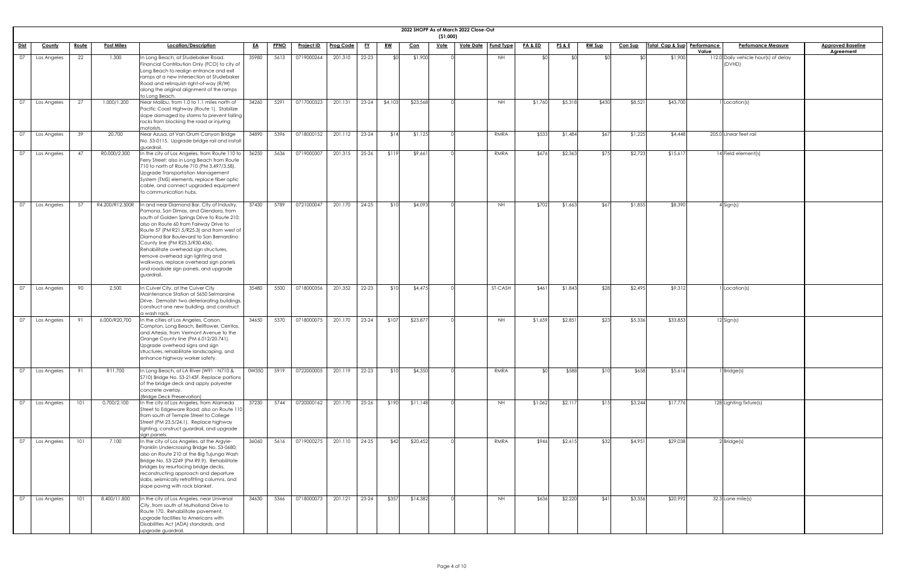|             |               |              |                   |                                                                                                                                                                                                                                                                                                                                                                                                                                                                                          |           |             |                   |                  |           |           |            | (51,000)    | 2022 SHOPP As of March 2022 Close-Out |                  |                    |                 |               |                |                             |       |                                                |                                              |
|-------------|---------------|--------------|-------------------|------------------------------------------------------------------------------------------------------------------------------------------------------------------------------------------------------------------------------------------------------------------------------------------------------------------------------------------------------------------------------------------------------------------------------------------------------------------------------------------|-----------|-------------|-------------------|------------------|-----------|-----------|------------|-------------|---------------------------------------|------------------|--------------------|-----------------|---------------|----------------|-----------------------------|-------|------------------------------------------------|----------------------------------------------|
| <u>Dist</u> | <b>County</b> | <u>Route</u> | <b>Post Miles</b> | Location/Description                                                                                                                                                                                                                                                                                                                                                                                                                                                                     | <u>EA</u> | <b>PPNO</b> | <u>Project ID</u> | <b>Prog Code</b> | <u>FY</u> | <u>RW</u> | <u>Con</u> | <b>Vote</b> | <u>Vote Date</u>                      | <b>Fund Type</b> | <u>PA &amp; ED</u> | <u>PS&amp;E</u> | <b>RW Sup</b> | <b>Con Sup</b> | Total Cap & Sup Performance | Value | <b>Perfomance Measure</b>                      | <b>Approved Baseline</b><br><b>Agreement</b> |
| 07          | Los Angeles   | 22           | 1.300             | In Long Beach, at Studebaker Road.<br>Financial Contribution Only (FCO) to city of<br>Long Beach to realign entrance and exit<br>ramps at a new intersection at Studebaker<br>Road and relinquish right-of-way (R/W)<br>along the original alignment of the ramps<br>to Long Beach.                                                                                                                                                                                                      | 35980     | 5613        | 0719000264        | 201.310          | $22 - 23$ |           | \$1,900    |             |                                       | <b>NH</b>        |                    | ≮∩              |               |                | \$1,900                     |       | 112.0 Daily vehicle hour(s) of delay<br>(DVHD) |                                              |
| 07          | Los Angeles   | 27           | 1.000/1.200       | Near Malibu, from 1.0 to 1.1 miles north of<br>Pacific Coast Highway (Route 1). Stabilize<br>slope damaged by storms to prevent falling<br>rocks from blocking the road or injuring<br>motorists.                                                                                                                                                                                                                                                                                        | 34260     | 5291        | 0717000323        | 201.131          | $23 - 24$ | \$4,103   | \$23,568   |             |                                       | <b>NH</b>        | \$1,760            | \$5,318         | \$430         | \$8,521        | \$43,700                    |       | 1 Location(s)                                  |                                              |
| 07          | Los Angeles   | 39           | 20.700            | Near Azusa, at Van Orum Canyon Bridge<br>No. 53-0115. Upgrade bridge rail and install<br>guardrail.                                                                                                                                                                                                                                                                                                                                                                                      | 34890     | 5396        | 0718000152        | 201.112          | $23 - 24$ | \$14      | \$1,125    |             |                                       | RMRA             | \$533              | \$1,484         | \$67          | \$1,225        | \$4,448                     |       | 205.0 Linear feet rail                         |                                              |
| 07          | Los Angeles   | 47           | R0.000/2.300      | In the city of Los Angeles, from Route 110 to<br>Ferry Street; also in Long Beach from Route<br>710 to north of Route 710 (PM 3.497/3.58).<br>Upgrade Transportation Management<br>System (TMS) elements, replace fiber optic<br>cable, and connect upgraded equipment<br>to communication hubs.                                                                                                                                                                                         | 36250     | 5636        | 0719000307        | 201.315          | $25 - 26$ | \$119     | \$9,661    |             |                                       | RMRA             | \$676              | \$2,363         | \$75          | \$2,723        | \$15,617                    |       | 14 Field element(s)                            |                                              |
| 07          | Los Angeles   | .57          | R4.200/R12.300R   | In and near Diamond Bar, City of Industry,<br>Pomona, San Dimas, and Glendora, from<br>south of Golden Springs Drive to Route 210;<br>also on Route 60 from Fairway Drive to<br>Route 57 (PM R21.5/R25.3) and from west of<br>Diamond Bar Boulevard to San Bernardino<br>County line (PM R25.3/R30.456).<br>Rehabilitate overhead sign structures,<br>remove overhead sign lighting and<br>walkways, replace overhead sign panels<br>and roadside sign panels, and upgrade<br>guardrail. | 37430     | 5789        | 0721000047        | 201.170          | $24 - 25$ | \$10      | \$4,093    |             |                                       | <b>NH</b>        | \$702              | \$1,663         | \$67          | \$1,855        | \$8,390                     |       | $4$ Sign(s)                                    |                                              |
| 07          | Los Angeles   | 90           | 2.500             | In Culver City, at the Culver City<br>Maintenance Station at 5650 Selmaraine<br>Drive. Demolish two deteriorating buildings,<br>construct one new building, and construct<br>a wash rack.                                                                                                                                                                                                                                                                                                | 35480     | 5500        | 0718000356        | 201.352          | $22 - 23$ | \$10      | \$4,475    |             |                                       | ST-CASH          | \$461              | \$1,843         | \$28          | \$2,495        | \$9,312                     |       | I Location(s)                                  |                                              |
| 07          | Los Angeles   |              | 6.000/R20.700     | In the cities of Los Angeles, Carson,<br>Compton, Long Beach, Bellflower, Cerritos,<br>and Artesia, from Vermont Avenue to the<br>Orange County line (PM 6.012/20.741).<br>Upgrade overhead signs and sign<br>structures, rehabilitate landscaping, and<br>enhance highway worker safety.                                                                                                                                                                                                | 34650     | 5370        | 0718000075        | 201.170          | $23 - 24$ | \$107     | \$23,877   |             |                                       | NH               | \$1,659            | \$2,851         | \$23          | \$5,336        | \$33,853                    |       | $12$ Sign(s)                                   |                                              |
| 07          | Los Angeles   | 91           | R11.700           | In Long Beach, at LA River (W91 - N710 &<br>S710) Bridge No. 53-2143F. Replace portions<br>of the bridge deck and apply polyester<br>concrete overlay.<br>(Bridge Deck Preservation)                                                                                                                                                                                                                                                                                                     | 0W350     | 5919        | 0722000005        | 201.119          | $22 - 23$ | \$10      | \$4,350    |             |                                       | RMRA             |                    | \$588           | \$10          | \$658          | \$5,616                     |       | $1$ Bridge(s)                                  |                                              |
| 07          | Los Angeles   | 101          | 0.700/2.100       | In the city of Los Angeles, from Alameda<br>Street to Edgeware Road; also on Route 110<br>from south of Temple Street to College<br>Street (PM 23.5/24.1). Replace highway<br>lighting, construct guardrail, and upgrade<br>sign panels.                                                                                                                                                                                                                                                 | 37230     | 5744        | 0720000162        | 201.170          | $25 - 26$ | \$190     | \$11,148   |             |                                       | <b>NH</b>        | \$1,062            | \$2,11          | \$15          | \$3,244        | \$17,776                    |       | 128 Lighting fixture(s)                        |                                              |
| 07          | Los Angeles   | 101          | 7.100             | In the city of Los Angeles, at the Argyle-<br>Franklin Undercrossing Bridge No. 53-0680;<br>also on Route 210 at the Big Tujunga Wash<br>Bridge No. 53-2249 (PM R9.9). Rehabilitate<br>bridges by resurfacing bridge decks,<br>reconstructing approach and departure<br>slabs, seismically retrofitting columns, and<br>slope paving with rock blanket.                                                                                                                                  | 36060     | 5616        | 0719000275        | 201.110          | $24 - 25$ | \$42      | \$20,452   |             |                                       | RMRA             | \$946              | \$2,615         | \$32          | \$4,951        | \$29,038                    |       | 2 Bridge(s)                                    |                                              |
| 07          | Los Angeles   | 101          | 8.400/11.800      | In the city of Los Angeles, near Universal<br>City, from south of Mulholland Drive to<br>Route 170. Rehabilitate pavement,<br>upgrade facilities to Americans with<br>Disabilities Act (ADA) standards, and<br>upgrade guardrail.                                                                                                                                                                                                                                                        | 34630     | 5366        | 0718000073        | 201.121          | $23 - 24$ | \$357     | \$14,382   |             |                                       | <b>NH</b>        | \$636              | \$2,220         | \$41          | \$3,356        | \$20,992                    |       | $32.3$ Lane mile(s)                            |                                              |

| İ<br><u>ne</u> |  |
|----------------|--|
|                |  |
|                |  |
|                |  |
|                |  |
|                |  |
|                |  |
|                |  |
|                |  |
|                |  |
|                |  |
|                |  |
|                |  |
|                |  |
|                |  |
|                |  |
|                |  |
|                |  |
|                |  |
|                |  |
|                |  |
|                |  |
|                |  |
|                |  |
|                |  |
|                |  |
|                |  |
|                |  |
|                |  |
|                |  |
|                |  |
|                |  |
|                |  |
|                |  |
|                |  |
|                |  |
|                |  |
|                |  |
|                |  |
|                |  |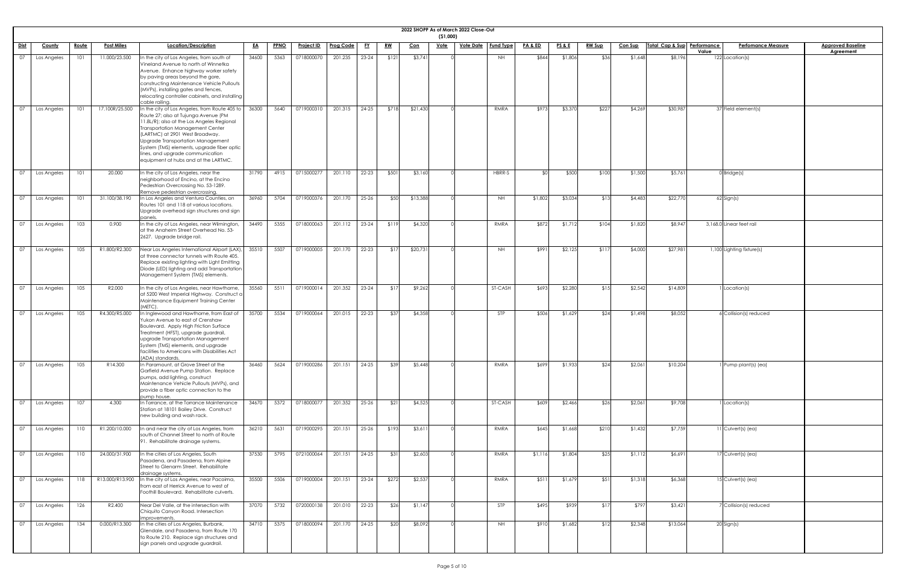|                 |               |              |                   |                                                                                                                                                                                                                                                                                                                                                                           |           |             |                   |                  |           |           |            | ( \$1,000)  | 2022 SHOPP As of March 2022 Close-Out |                  |         |                 |               |                |                             |                                    |                                              |
|-----------------|---------------|--------------|-------------------|---------------------------------------------------------------------------------------------------------------------------------------------------------------------------------------------------------------------------------------------------------------------------------------------------------------------------------------------------------------------------|-----------|-------------|-------------------|------------------|-----------|-----------|------------|-------------|---------------------------------------|------------------|---------|-----------------|---------------|----------------|-----------------------------|------------------------------------|----------------------------------------------|
| <u>Dist</u>     | <u>County</u> | <u>Route</u> | <u>Post Miles</u> | Location/Description                                                                                                                                                                                                                                                                                                                                                      | <u>EA</u> | <b>PPNO</b> | <b>Project ID</b> | <b>Prog Code</b> | <u>FY</u> | <u>RW</u> | <u>Con</u> | <u>Vote</u> | <u>Vote Date</u>                      | <b>Fund Type</b> | PA & ED | <u>PS&amp;E</u> | <u>RW Sup</u> | <b>Con Sup</b> | Total Cap & Sup Performance | <b>Perfomance Measure</b><br>Value | <b>Approved Baseline</b><br><b>Agreement</b> |
| $\overline{07}$ | Los Angeles   | 101          | 11.000/23.500     | In the city of Los Angeles, from south of<br>Vineland Avenue to north of Winnetka<br>Avenue. Enhance highway worker safety<br>by paving areas beyond the gore,<br>constructing Maintenance Vehicle Pullouts<br>(MVPs), installing gates and fences,<br>relocating controller cabinets, and installing<br>cable railing.                                                   | 34600     | 5363        | 0718000070        | 201.235          | $23 - 24$ | \$121     | \$3,741    |             |                                       | NH.              | \$844   | \$1,806         | \$36          | \$1,648        | \$8,196                     | 122 Location(s)                    |                                              |
| 07              | Los Angeles   | 101          | 17.100R/25.500    | In the city of Los Angeles, from Route 405 to<br>Route 27; also at Tujunga Avenue (PM<br>11.8L/R); also at the Los Angeles Regional<br>Transportation Management Center<br>(LARTMC) at 2901 West Broadway.<br>Upgrade Transportation Management<br>System (TMS) elements, upgrade fiber optic<br>lines, and upgrade communication<br>equipment at hubs and at the LARTMC. | 36300     | 5640        | 0719000310        | 201.315          | $24 - 25$ | \$718     | \$21,430   |             |                                       | RMRA             | \$973   | \$3,370         | \$227         | \$4,269        | \$30,987                    | 37 Field element(s)                |                                              |
| $\overline{07}$ | Los Angeles   | 101          | 20.000            | In the city of Los Angeles, near the<br>neighborhood of Encino, at the Encino<br>Pedestrian Overcrossing No. 53-1289.<br>Remove pedestrian overcrossing.                                                                                                                                                                                                                  | 31790     | 4915        | 0715000277        | 201.110          | $22 - 23$ | \$501     | \$3,160    |             |                                       | HBRR-S           |         | \$500           | \$100         | \$1,500        | \$5,761                     | $0$ Bridge(s)                      |                                              |
| $\overline{07}$ | Los Angeles   | 101          | 31.100/38.190     | In Los Angeles and Ventura Counties, on<br>Routes 101 and 118 at various locations.<br>Upgrade overhead sign structures and sign<br>panels.                                                                                                                                                                                                                               | 36960     | 5704        | 0719000376        | 201.170          | $25 - 26$ | \$50      | \$13,388   |             |                                       | NH               | \$1,802 | \$3,034         | \$13          | \$4,483        | \$22,770                    | 62 Sign(s)                         |                                              |
| 07              | Los Angeles   | 103          | 0.900             | In the city of Los Angeles, near Wilmington,<br>at the Anaheim Street Overhead No. 53-<br>2627. Upgrade bridge rail.                                                                                                                                                                                                                                                      | 34490     | 5355        | 0718000063        | 201.112          | $23 - 24$ | \$119     | \$4,320    |             |                                       | RMRA             | \$872   | \$1,712         | \$104         | \$1,820        | \$8,947                     | 3,168.0 Linear feet rail           |                                              |
| $\overline{07}$ | Los Angeles   | 105          | R1.800/R2.300     | Near Los Angeles International Airport (LAX),<br>at three connector tunnels with Route 405.<br>Replace existing lighting with Light Emitting<br>Diode (LED) lighting and add Transportation<br>Management System (TMS) elements.                                                                                                                                          | 35510     | 5507        | 0719000005        | 201.170          | $22 - 23$ | \$17      | \$20,731   |             |                                       | <b>NH</b>        | \$991   | \$2,125         | \$117         | \$4,000        | \$27,981                    | 1,100 Lighting fixture(s)          |                                              |
| $\overline{07}$ | Los Angeles   | 105          | R2.000            | In the city of Los Angeles, near Hawthorne,<br>at 5200 West Imperial Highway. Construct<br>Maintenance Equipment Training Center<br>(METC)                                                                                                                                                                                                                                | 35560     | 5511        | 0719000014        | 201.352          | $23 - 24$ | \$17      | \$9,262    |             |                                       | ST-CASH          | \$693   | \$2,280         | \$15          | \$2,542        | \$14,809                    | Location(s)                        |                                              |
| 07              | Los Angeles   | 105          | R4.300/R5.000     | In Inglewood and Hawthorne, from East of<br>Yukon Avenue to east of Crenshaw<br>Boulevard. Apply High Friction Surface<br>Treatment (HFST), upgrade guardrail,<br>upgrade Transportation Management<br>System (TMS) elements, and upgrade<br>facilities to Americans with Disabilities Act<br>(ADA) standards.                                                            | 35700     | 5534        | 0719000064        | 201.015          | $22 - 23$ | \$37      | \$4,358    |             |                                       | <b>STP</b>       | \$506   | \$1,629         | \$24          | \$1,498        | \$8,052                     | $6$ Collision(s) reduced           |                                              |
| $\overline{07}$ | Los Angeles   | 105          | R14.300           | In Paramount, at Grove Street at the<br>Garfield Avenue Pump Station. Replace<br>pumps, add lighting, construct<br>Maintenance Vehicle Pullouts (MVPs), and<br>provide a fiber optic connection to the<br>pump house.                                                                                                                                                     | 36460     | 5624        | 0719000286        | 201.151          | $24 - 25$ | \$39      | \$5,448    |             |                                       | RMRA             | \$699   | \$1,933         | \$24          | \$2,061        | \$10,204                    | 1 Pump plant(s) (ea)               |                                              |
| 07              | Los Angeles   | 107          | 4.300             | In Torrance, at the Torrance Maintenance<br>Station at 18101 Bailey Drive. Construct<br>new building and wash rack.                                                                                                                                                                                                                                                       | 34670     | 5372        | 0718000077        | 201.352          | $25 - 26$ | \$21      | \$4,525    |             |                                       | ST-CASH          | \$609   | \$2,466         | \$26          | \$2,061        | \$9,708                     | Location(s)                        |                                              |
| $\overline{07}$ | Los Angeles   | 110          | R1.200/10.000     | In and near the city of Los Angeles, from<br>south of Channel Street to north of Route<br>91. Rehabilitate drainage systems.                                                                                                                                                                                                                                              | 36210     | 5631        | 0719000295        | 201.151          | $25 - 26$ | \$193     | \$3,61     |             |                                       | RMRA             | \$645   | \$1,668         | \$210         | \$1,432        | \$7,759                     | $11$ Culvert(s) (ea)               |                                              |
| 07              | Los Angeles   | 110          | 24.000/31.900     | In the cities of Los Angeles, South<br>Pasadena, and Pasadena, from Alpine<br>Street to Glenarm Street. Rehabilitate<br>drainage systems.                                                                                                                                                                                                                                 | 37530     | 5795        | 0721000064        | 201.151          | $24 - 25$ | \$31      | \$2,603    |             |                                       | RMRA             | \$1,116 | \$1,804         | \$25          | \$1,112        | \$6,691                     | 17 Culvert(s) (ea)                 |                                              |
| 07              | Los Angeles   | 118          |                   | R13.000/R13.900  In the city of Los Angeles, near Pacoima,<br>from east of Herrick Avenue to west of<br>Foothill Boulevard. Rehabilitate culverts.                                                                                                                                                                                                                        | 35500     | 5506        | 0719000004        | 201.151          | $23 - 24$ | \$272     | \$2,537    |             |                                       | RMRA             | \$511   | \$1,679         | \$51]         | \$1,318        | \$6,368                     | $15$ Culvert(s) (ea)               |                                              |
| $\overline{07}$ | Los Angeles   | 126          | R2.400            | Near Del Valle, at the intersection with<br>Chiquito Canyon Road. Intersection<br>improvements.                                                                                                                                                                                                                                                                           | 37070     | 5732        | 0720000138        | 201.010          | $22 - 23$ | \$26      | \$1,147    |             |                                       | STP              | \$495   | \$939           | \$17          | \$797          | \$3,421                     | 7 Collision(s) reduced             |                                              |
| $\overline{07}$ | Los Angeles   | 134          | 0.000/R13.300     | In the cities of Los Angeles, Burbank,<br>Glendale, and Pasadena, from Route 170<br>to Route 210. Replace sign structures and<br>sign panels and upgrade guardrail.                                                                                                                                                                                                       | 34710     | 5375        | 0718000094        | 201.170          | $24-25$   | \$20      | \$8,092    |             |                                       | <b>NH</b>        | \$910   | \$1,682         | \$12          | \$2,348        | \$13,064                    | 20 Sign(s)                         |                                              |

| 2 |  |
|---|--|
|   |  |
|   |  |
|   |  |
|   |  |
|   |  |
|   |  |
|   |  |
|   |  |
|   |  |
|   |  |
|   |  |
|   |  |
|   |  |
|   |  |
|   |  |
|   |  |
|   |  |
|   |  |
|   |  |
|   |  |
|   |  |
|   |  |
|   |  |
|   |  |
|   |  |
|   |  |
|   |  |
|   |  |
|   |  |
|   |  |
|   |  |
|   |  |
|   |  |
|   |  |
|   |  |
|   |  |
|   |  |
|   |  |
|   |  |
|   |  |
|   |  |
|   |  |
|   |  |
|   |  |
|   |  |
|   |  |
|   |  |
|   |  |
|   |  |
|   |  |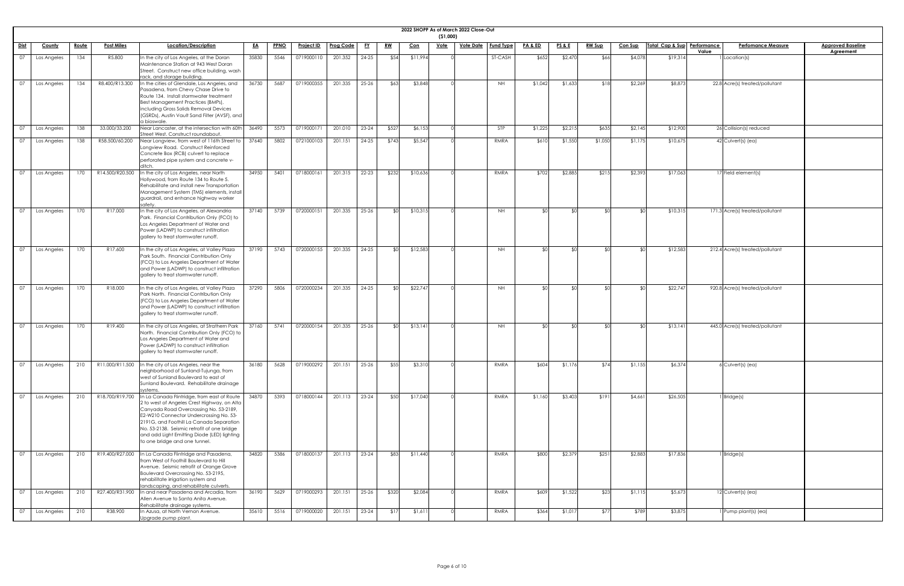|                 |             |              |                   |                                                                                                                                                                                                                                                                                                                                                            |           |             |                   |                  |           |           |            | ( \$1,000)  | 2022 SHOPP As of March 2022 Close-Out |                  |                    |                 |               |                |                             |                                 |                          |
|-----------------|-------------|--------------|-------------------|------------------------------------------------------------------------------------------------------------------------------------------------------------------------------------------------------------------------------------------------------------------------------------------------------------------------------------------------------------|-----------|-------------|-------------------|------------------|-----------|-----------|------------|-------------|---------------------------------------|------------------|--------------------|-----------------|---------------|----------------|-----------------------------|---------------------------------|--------------------------|
| Dist            | County      | <u>Route</u> | <b>Post Miles</b> | Location/Description                                                                                                                                                                                                                                                                                                                                       | <u>EA</u> | <b>PPNO</b> | <u>Project ID</u> | <b>Prog Code</b> | <u>FY</u> | <u>RW</u> | <u>Con</u> | <u>Vote</u> | <u>Vote Date</u>                      | <b>Fund Type</b> | <u>PA &amp; ED</u> | <u>PS&amp;E</u> | <b>RW Sup</b> | <b>Con Sup</b> | Total Cap & Sup Performance | <b>Perfomance Measure</b>       | <b>Approved Baseline</b> |
| 07              | Los Angeles | 134          | R5.800            | In the city of Los Angeles, at the Doran<br>Maintenance Station at 943 West Doran<br>Street. Construct new office building, wash<br>rack, and storage building.                                                                                                                                                                                            | 35830     | 5546        | 0719000110        | 201.352          | $24 - 25$ | \$54      | \$11,994   |             |                                       | ST-CASH          | \$652              | \$2,470         | \$66          | \$4,078        | \$19,314                    | Value<br>Location(s)            | Agreement                |
| 07              | Los Angeles | 134          | R8.400/R13.300    | In the cities of Glendale, Los Angeles, and<br>Pasadena, from Chevy Chase Drive to<br>Route 134. Install stormwater treatment<br>Best Management Practices (BMPs)<br>including Gross Solids Removal Devices<br>(GSRDs), Austin Vault Sand Filter (AVSF), and<br>a bioswale.                                                                                | 36730     | 5687        | 0719000355        | 201.335          | $25 - 26$ | \$63      | \$3,848    |             |                                       | <b>NH</b>        | \$1,042            | \$1,633         | \$18          | \$2,269        | \$8,873                     | 22.8 Acre(s) treated/pollutant  |                          |
| 07              | Los Angeles | 138          | 33.000/33.200     | Near Lancaster, at the intersection with 60th<br>Street West. Construct roundabout.                                                                                                                                                                                                                                                                        | 36490     | 5573        | 0719000171        | 201.010          | $23 - 24$ | \$527     | \$6,153    |             |                                       | <b>STP</b>       | \$1,225            | \$2,215         | \$635         | \$2,145        | \$12,900                    | 26 Collision(s) reduced         |                          |
| $\overline{07}$ | Los Angeles | 138          | R58.500/60.200    | Near Longview, from west of 116th Street to<br>Longview Road. Construct Reinforced<br>Concrete Box (RCB) culvert to replace<br>perforated pipe system and concrete v-<br>ditch                                                                                                                                                                             | 37640     | 5802        | 0721000103        | 201.151          | $24 - 25$ | \$743     | \$5,547    |             |                                       | RMRA             | \$610              | \$1,550         | \$1,050       | \$1,175        | \$10,675                    | $42$ Culvert(s) (ea)            |                          |
| $\overline{07}$ | Los Angeles | 170          | R14.500/R20.500   | In the city of Los Angeles, near North<br>Hollywood, from Route 134 to Route 5.<br>Rehabilitate and install new Transportation<br>Management System (TMS) elements, instal<br>guardrail, and enhance highway worker<br>safety.                                                                                                                             | 34950     | 5401        | 0718000161        | 201.315          | $22 - 23$ | \$232     | \$10,636   |             |                                       | RMRA             | \$702              | \$2,885         | \$215         | \$2,393        | \$17,063                    | 17 Field element(s)             |                          |
| $\overline{07}$ | Los Angeles | 170          | R17.000           | In the city of Los Angeles, at Alexandria<br>Park. Financial Contribution Only (FCO) to<br>Los Angeles Department of Water and<br>Power (LADWP) to construct infiltration<br>gallery to treat stormwater runoff.                                                                                                                                           | 37140     | 5739        | 0720000151        | 201.335          | $25 - 26$ | <b>RO</b> | \$10,315   |             |                                       | <b>NH</b>        | <b>⊀∩</b>          | _⊄∩∣            |               | ו∩⊅            | \$10,315                    | 171.3 Acre(s) treated/pollutant |                          |
| 07              | Los Angeles | 170          | R17.600           | In the city of Los Angeles, at Valley Plaza<br>Park South. Financial Contribution Only<br>(FCO) to Los Angeles Department of Water<br>and Power (LADWP) to construct infiltration<br>gallery to treat stormwater runoff.                                                                                                                                   | 37190     | 5743        | 0720000155        | 201.335          | $24 - 25$ |           | \$12,583   |             |                                       | <b>NH</b>        |                    |                 |               |                | \$12,583                    | 212.4 Acre(s) treated/pollutant |                          |
| $\overline{07}$ | Los Angeles | 170          | R18.000           | In the city of Los Angeles, at Valley Plaza<br>Park North. Financial Contribution Only<br>(FCO) to Los Angeles Department of Water<br>and Power (LADWP) to construct infiltration<br>gallery to treat stormwater runoff.                                                                                                                                   | 37290     | 5806        | 0720000234        | 201.335          | $24 - 25$ |           | \$22,747   |             |                                       | <b>NH</b>        | \$0                | SO <sub>1</sub> |               | ዳበ             | \$22,747                    | 920.8 Acre(s) treated/pollutant |                          |
| 07              | Los Angeles | 170          | R19.400           | In the city of Los Angeles, at Strathern Park<br>North. Financial Contribution Only (FCO) to<br>Los Angeles Department of Water and<br>Power (LADWP) to construct infiltration<br>gallery to treat stormwater runoff.                                                                                                                                      | 37160     | 5741        | 0720000154        | 201.335          | $25 - 26$ | . የር      | \$13,141   |             |                                       | NH.              | ላ የ                | \$∩             |               | \$∩            | \$13,141                    | 445.0 Acre(s) treated/pollutant |                          |
| 07              | Los Angeles | 210          | R11.000/R11.500   | In the city of Los Angeles, near the<br>neighborhood of Sunland-Tujunga, from<br>west of Sunland Boulevard to east of<br>Sunland Boulevard. Rehabilitate drainage<br>systems.                                                                                                                                                                              | 36180     | 5628        | 0719000292        | 201.151          | $25 - 26$ | \$55      | \$3,310    |             |                                       | RMRA             | \$604              | \$1,176         | \$74          | \$1,155        | \$6,374                     | $6$ Culvert(s) (ea)             |                          |
| 07              | Los Angeles | 210          | R18.700/R19.700   | In La Canada Flintridge, from east of Route<br>2 to west of Angeles Crest Highway, on Alta<br>Canyada Road Overcrossing No. 53-2189,<br>E2-W210 Connector Undercrossing No. 53-<br>2191G, and Foothill La Canada Separation<br>No. 53-2138. Seismic retrofit of one bridge<br>and add Light Emitting Diode (LED) lighting<br>to one bridge and one tunnel. | 34870     | 5393        | 0718000144        | 201.113          | $23 - 24$ | \$50      | \$17,040   |             |                                       | RMRA             | \$1,160            | \$3,403         | \$191         | \$4,661        | \$26,505                    | Bridge(s)                       |                          |
| 07              | Los Angeles | 210          | R19.400/R27.000   | In La Canada Flintridge and Pasadena,<br>from West of Foothill Boulevard to Hill<br>Avenue. Seismic retrofit of Orange Grove<br>Boulevard Overcrossing No. 53-2195,<br>rehabilitate irrigation system and<br>landscaping, and rehabilitate culverts.                                                                                                       | 34820     | 5386        | 0718000137        | 201.113          | $23 - 24$ | \$83      | \$11,440   |             |                                       | RMRA             | \$800              | \$2,379         | \$251         | \$2,883        | \$17,836                    | Bridge(s)                       |                          |
| $\boxed{07}$    | Los Angeles | 210          | R27.400/R31.900   | In and near Pasadena and Arcadia, from<br>Allen Avenue to Santa Anita Avenue.<br>Rehabilitate drainage systems.                                                                                                                                                                                                                                            | 36190     | 5629        | 0719000293        | 201.151          | $25 - 26$ | \$320     | \$2,084    |             |                                       | RMRA             | \$609              | \$1,522         | \$23          | \$1,115        | \$5,673                     | $12$ Culvert(s) (ea)            |                          |
| $\overline{07}$ | Los Angeles | 210          | R38.900           | In Azusa, at North Vernon Avenue.<br>Upgrade pump plant.                                                                                                                                                                                                                                                                                                   | 35610     | 5516        | 0719000020        | 201.151          | $23 - 24$ | \$17      | \$1,611    |             |                                       | RMRA             | \$364              | \$1,017         | \$77          | \$789          | \$3,875                     | 1 Pump plant(s) (ea)            |                          |

| <u>ine</u> |
|------------|
|            |
|            |
|            |
|            |
|            |
|            |
|            |
|            |
|            |
|            |
|            |
|            |
|            |
|            |
|            |
|            |
|            |
|            |
|            |
|            |
|            |
|            |
|            |
|            |
|            |
|            |
|            |
|            |
|            |
|            |
|            |
|            |
|            |
|            |
|            |
|            |
|            |
|            |
|            |
|            |
|            |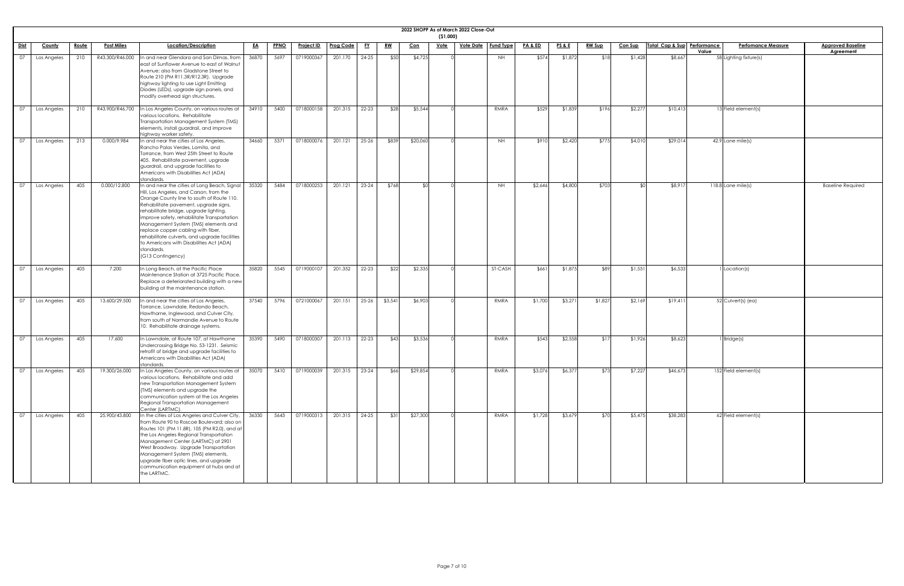|                 |               |              |                   |                                                                                                                                                                                                                                                                                                                                                                                                                                                                                        |           |             |                   |               |           |           |            | (51,000)    | 2022 SHOPP As of March 2022 Close-Out |                  |         |                 |               |                |                             |       |                           |                                       |
|-----------------|---------------|--------------|-------------------|----------------------------------------------------------------------------------------------------------------------------------------------------------------------------------------------------------------------------------------------------------------------------------------------------------------------------------------------------------------------------------------------------------------------------------------------------------------------------------------|-----------|-------------|-------------------|---------------|-----------|-----------|------------|-------------|---------------------------------------|------------------|---------|-----------------|---------------|----------------|-----------------------------|-------|---------------------------|---------------------------------------|
| Dist            | <b>County</b> | <u>Route</u> | <b>Post Miles</b> | Location/Description                                                                                                                                                                                                                                                                                                                                                                                                                                                                   | <u>EA</u> | <b>PPNO</b> | <u>Project ID</u> | Prog Code     | <u>FY</u> | <u>RW</u> | <u>Con</u> | <u>Vote</u> | <u>Vote Date</u>                      | <b>Fund Type</b> | PA&ED   | <u>PS&amp;E</u> | <b>RW Sup</b> | <b>Con Sup</b> | Total Cap & Sup Performance | Value | <b>Perfomance Measure</b> | <b>Approved Baseline</b><br>Agreement |
| 07              | Los Angeles   | 210          | R43.300/R46.000   | In and near Glendora and San Dimas, from<br>east of Sunflower Avenue to east of Walnut<br>Avenue; also from Gladstone Street to<br>Route 210 (PM R11.3R/R12.3R). Upgrade<br>highway lighting to use Light Emitting<br>Diodes (LEDs), upgrade sign panels, and<br>modify overhead sign structures.                                                                                                                                                                                      | 36870     | 5697        | 0719000367        | 201.170       | 24-25     | \$50      | \$4,725    |             |                                       | <b>NH</b>        | \$574   | \$1,872         | \$18          | \$1,428        | \$8,667                     |       | 58 Lighting fixture(s)    |                                       |
| 07              | Los Angeles   | 210          | R43.900/R46.700   | In Los Angeles County, on various routes at<br>various locations. Rehabilitate<br>Transportation Management System (TMS)<br>elements, install guardrail, and improve<br>highway worker safety.                                                                                                                                                                                                                                                                                         | 34910     | 5400        | 0718000158        | 201.315       | 22-23     | \$28      | \$5,544    |             |                                       | RMRA             | \$529   | \$1,839         | \$196         | \$2,277        | \$10,413                    |       | 13 Field element(s)       |                                       |
| 07              | Los Angeles   | 213          | 0.000/9.984       | In and near the cities of Los Angeles,<br>Rancho Palos Verdes, Lomita, and<br>Torrance, from West 25th Street to Route<br>405. Rehabilitate pavement, upgrade<br>guardrail, and upgrade facilities to<br>Americans with Disabilities Act (ADA)<br>standards.                                                                                                                                                                                                                           | 34660     | 5371        | 0718000076        | 201.121       | $25 - 26$ | \$839     | \$20,060   |             |                                       | <b>NH</b>        | \$910   | \$2,420         | \$775         | \$4,010        | \$29,014                    |       | $42.9$ Lane mile(s)       |                                       |
| 07              | Los Angeles   | 405          | 0.000/12.800      | In and near the cities of Long Beach, Signal  <br>Hill, Los Angeles, and Carson, from the<br>Orange County line to south of Route 110.<br>Rehabilitate pavement, upgrade signs,<br>rehabilitate bridge, upgrade lighting,<br>improve safety, rehabilitate Transportation<br>Management System (TMS) elements and<br>replace copper cabling with fiber,<br>rehabilitate culverts, and upgrade facilities<br>to Americans with Disabilities Act (ADA)<br>standards.<br>(G13 Contingency) | 35320     | 5484        | 0718000253        | 201.121       | $23 - 24$ | \$768     |            |             |                                       | <b>NH</b>        | \$2,646 | \$4,800         | \$703         |                | \$8,917                     |       | $118.8$ Lane mile(s)      | <b>Baseline Required</b>              |
| 07              | Los Angeles   | 405          | 7.200             | In Long Beach, at the Pacific Place<br>Maintenance Station at 3725 Pacific Place.<br>Replace a deteriorated building with a new<br>building at the maintenance station.                                                                                                                                                                                                                                                                                                                | 35820     | 5545        | 0719000107        | 201.352       | 22-23     | \$22      | \$2,335    |             |                                       | <b>ST-CASH</b>   | \$661   | \$1,875         | \$89          | \$1,551        | \$6,533                     |       | Location(s)               |                                       |
| 07              | Los Angeles   | 405          | 13.600/29.500     | In and near the cities of Los Angeles,<br>Torrance, Lawndale, Redondo Beach,<br>Hawthorne, Inglewood, and Culver City,<br>from south of Normandie Avenue to Route<br>10. Rehabilitate drainage systems.                                                                                                                                                                                                                                                                                | 37540     | 5796        | 0721000067        | 201.151       | 25-26     | \$3,541   | \$6,903    |             |                                       | RMRA             | \$1,700 | \$3,271         | \$1,827       | \$2,169        | \$19,411                    |       | 52 Culvert(s) (ea)        |                                       |
| 07              | Los Angeles   | 405          | 17.600            | In Lawndale, at Route 107, at Hawthorne<br>Undercrossing Bridge No. 53-1231. Seismic<br>retrofit of bridge and upgrade facilities to<br>Americans with Disabilities Act (ADA)<br>standards                                                                                                                                                                                                                                                                                             | 35390     | 5490        | 0718000307        | 201.113       | 22-23     | \$43      | \$3,536    |             |                                       | RMRA             | \$543   | \$2,558         | \$17          | \$1,926        | \$8,623                     |       | Bridge(s)                 |                                       |
| $\overline{07}$ | Los Angeles   | 405          | 19.300/26.000     | In Los Angeles County, on various routes at<br>various locations. Rehabilitate and add<br>new Transportation Management System<br>(TMS) elements and upgrade the<br>communication system at the Los Angeles<br>Regional Transportation Management<br>Center (LARTMC).                                                                                                                                                                                                                  | 35070     | 5410        | 0719000039        | 201.315 23-24 |           | \$66      | \$29,854   |             |                                       | RMRA             | \$3,076 | \$6,377         | \$73          | \$7,227        | \$46,673                    |       | 152 Field element(s)      |                                       |
| 07              | Los Angeles   | 405          | 25.900/43.800     | In the cities of Los Angeles and Culver City,<br>from Route 90 to Roscoe Boulevard; also on<br>Routes 101 (PM 11.8R), 105 (PM R2.0), and at<br>the Los Angeles Regional Transportation<br>Management Center (LARTMC) at 2901<br>West Broadway. Upgrade Transportation<br>Management System (TMS) elements,<br>upgrade fiber optic lines, and upgrade<br>communication equipment at hubs and at<br>the LARTMC.                                                                          | 36330     | 5643        | 0719000313        | 201.315       | 24-25     | \$31      | \$27,300   |             |                                       | RMRA             | \$1,728 | \$3,679         | \$70          | \$5,475        | \$38,283                    |       | 62 Field element(s)       |                                       |

| <u>Baseline</u><br>ment |  |
|-------------------------|--|
|                         |  |
|                         |  |
|                         |  |
|                         |  |
|                         |  |
|                         |  |
|                         |  |
|                         |  |
|                         |  |
| Required                |  |
|                         |  |
|                         |  |
|                         |  |
|                         |  |
|                         |  |
|                         |  |
|                         |  |
|                         |  |
|                         |  |
|                         |  |
|                         |  |
|                         |  |
|                         |  |
|                         |  |
|                         |  |
|                         |  |
|                         |  |
|                         |  |
|                         |  |
|                         |  |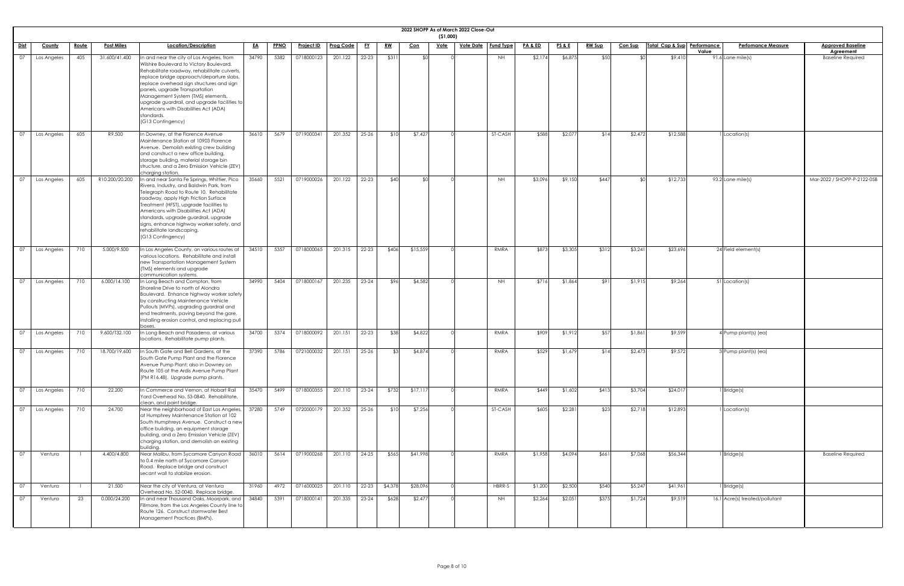|                 |               |              |                   |                                                                                                                                                                                                                                                                                                                                                                                                                                   |           |             |                   |                           |           |           |            | (51,000)    | 2022 SHOPP As of March 2022 Close-Out |             |                    |                 |               |                |                             |                                |                                              |
|-----------------|---------------|--------------|-------------------|-----------------------------------------------------------------------------------------------------------------------------------------------------------------------------------------------------------------------------------------------------------------------------------------------------------------------------------------------------------------------------------------------------------------------------------|-----------|-------------|-------------------|---------------------------|-----------|-----------|------------|-------------|---------------------------------------|-------------|--------------------|-----------------|---------------|----------------|-----------------------------|--------------------------------|----------------------------------------------|
| <b>Dist</b>     | <b>County</b> | <u>Route</u> | <b>Post Miles</b> | Location/Description                                                                                                                                                                                                                                                                                                                                                                                                              | <u>EA</u> | <b>PPNO</b> | <b>Project ID</b> | Prog Code                 | <u>FY</u> | <u>RW</u> | <u>Con</u> | <u>Vote</u> | <u>Vote Date</u>   Fund Type          |             | <b>PA &amp; ED</b> | <u>PS&amp;E</u> | <u>RW Sup</u> | <b>Con Sup</b> | Total Cap & Sup Performance | <b>Perfomance Measure</b>      | <b>Approved Baseline</b>                     |
| 07              | Los Angeles   | 405          | 31.600/41.400     | In and near the city of Los Angeles, from<br>Wilshire Boulevard to Victory Boulevard.<br>Rehabilitate roadway, rehabilitate culverts,<br>replace bridge approach/departure slabs,<br>replace overhead sign structures and sign<br>panels, upgrade Transportation<br>Management System (TMS) elements,<br>upgrade guardrail, and upgrade facilities to<br>Americans with Disabilities Act (ADA)<br>standards.<br>(G13 Contingency) | 34790     | 5382        | 0718000123        | 201.122                   | $22 - 23$ | \$311     | \$0        |             |                                       | <b>NH</b>   | \$2,174            | \$6,875         | \$50          | ו∩≯            | \$9,410                     | Value<br>91.6 Lane mile(s)     | <b>Agreement</b><br><b>Baseline Required</b> |
| $\overline{07}$ | Los Angeles   | 605          | R9.500            | In Downey, at the Florence Avenue<br>Maintenance Station at 10903 Florence<br>Avenue. Demolish existing crew building<br>and construct a new office building,<br>storage building, material storage bin<br>structure, and a Zero Emission Vehicle (ZEV)<br>charging station.                                                                                                                                                      | 36610     | 5679        | 0719000341        | 201.352                   | $25 - 26$ | \$10      | \$7,427    |             |                                       | ST-CASH     | \$588              | \$2,077         | \$14          | \$2,472        | \$12,588                    | 1 Location(s)                  |                                              |
| 07              | Los Angeles   | 605          | R10.200/20.200    | In and near Santa Fe Springs, Whittier, Pico<br>Rivera, Industry, and Baldwin Park, from<br>Telegraph Road to Route 10. Rehabilitate<br>roadway, apply High Friction Surface<br>Treatment (HFST), upgrade facilities to<br>Americans with Disabilities Act (ADA)<br>standards, upgrade guardrail, upgrade<br>signs, enhance highway worker safety, and<br>rehabilitate landscaping.<br>(G13 Contingency)                          | 35660     | 5521        | 0719000026        | 201.122                   | 22-23     | \$40      | ്ടവ        |             |                                       | <b>NH</b>   | \$3,096            | \$9,150         | \$447         | ו∩≯            | \$12,733                    | $93.2$ Lane mile(s)            | Mar-2022 / SHOPP-P-2122-05B                  |
| 07              | Los Angeles   | 710          | 5.000/9.500       | In Los Angeles County, on various routes at<br>various locations. Rehabilitate and install<br>new Transportation Management System<br>(TMS) elements and upgrade<br>communication systems.                                                                                                                                                                                                                                        | 34510     | 5357        | 0718000065        | 201.315                   | 22-23     | \$406     | \$15,559   |             |                                       | RMRA        | \$873              | \$3,305         | \$312         | \$3,241        | \$23,696                    | 24 Field element(s)            |                                              |
| 07              | Los Angeles   | 710          | 6.000/14.100      | In Long Beach and Compton, from<br>Shoreline Drive to north of Alondra<br>Boulevard. Enhance highway worker safety<br>by constructing Maintenance Vehicle<br>Pullouts (MVPs), upgrading guardrail and<br>end treatments, paving beyond the gore,<br>installing erosion control, and replacing pull<br>boxes.                                                                                                                      | 34990     | 5404        | 0718000167        | 201.235                   | $23 - 24$ | \$96      | \$4,582    |             |                                       | <b>NH</b>   | \$71               | \$1,864         | \$91          | \$1,915        | \$9,264                     | 51 Location(s)                 |                                              |
| $\overline{07}$ | Los Angeles   | 710          | 9.600/T32.100     | n Long Beach and Pasadena, at various<br>locations. Rehabilitate pump plants.                                                                                                                                                                                                                                                                                                                                                     | 34700     | 5374        | 0718000092        | 201.151                   | $22 - 23$ | \$38      | \$4,822    |             |                                       | RMRA        | \$909              | \$1,912         | \$57          | \$1,861        | \$9,599                     | 4 Pump plant(s) (ea)           |                                              |
| $\overline{07}$ | Los Angeles   | 710          | 18.700/19.600     | In South Gate and Bell Gardens, at the<br>South Gate Pump Plant and the Florence<br>Avenue Pump Plant; also in Downey on<br>Route 105 at the Ardis Avenue Pump Plant<br>(PM R16.48). Upgrade pump plants.                                                                                                                                                                                                                         | 37390     | 5786        | 0721000032        | 201.151                   | $25 - 26$ | \$3       | \$4,874    |             |                                       | <b>RMRA</b> | \$529              | \$1,679         | \$14          | \$2,473        | \$9,572                     | 3 Pump plant(s) (ea)           |                                              |
| $\overline{07}$ | Los Angeles   | 710          | 22.200            | n Commerce and Vernon, at Hobart Rail<br>Yard Overhead No. 53-0840. Rehabilitate,<br>clean, and paint bridge.                                                                                                                                                                                                                                                                                                                     | 35470     | 5499        | 0718000355        | 201.110                   | $23 - 24$ | \$732     | \$17,117   |             |                                       | RMRA        | \$449              | \$1,602         | \$413         | \$3,704        | \$24,017                    | $1$ Bridge $(s)$               |                                              |
| $\overline{07}$ | Los Angeles   | 710          | 24.700            | Near the neighborhood of East Los Angeles,<br>at Humphrey Maintenance Station at 102<br>South Humphreys Avenue. Construct a new<br>office building, an equipment storage<br>building, and a Zero Emission Vehicle (ZEV)<br>charging station, and demolish an existing<br>building                                                                                                                                                 | 37280     | 5749        | 0720000179        | 201.352                   | $25 - 26$ | \$10      | \$7,256    |             |                                       | ST-CASH     | \$605              | \$2,281         | \$23          | \$2,718        | \$12,893                    | 1 Location(s)                  |                                              |
| 07              | Ventura       |              | 4.400/4.800       | Near Malibu, from Sycamore Canyon Road<br>to 0.4 mile north of Sycamore Canyon<br>Road. Replace bridge and construct<br>secant wall to stabilize erosion.                                                                                                                                                                                                                                                                         | 36010     | 5614        | 0719000268        | 201.110                   | 24-25     | \$565     | \$41,998   |             |                                       | RMRA        | \$1,958            | \$4,094         | \$661         | \$7,068        | \$56,344                    | 1 Bridge(s)                    | <b>Baseline Required</b>                     |
| 07              | Ventura       |              | 21.500            | Near the city of Ventura, at Ventura<br>Overhead No. 52-0040. Replace bridge.                                                                                                                                                                                                                                                                                                                                                     | 31960     | 4972        | 0716000025        | 201.110   22-23   \$4,378 |           |           | \$28,096   |             |                                       | HBRR-S      | \$1,200            | \$2,500         | \$540         | \$5,247        | \$41,961                    | $1$ Bridge(s)                  |                                              |
| $\overline{07}$ | Ventura       | 23           | 0.000/24.200      | In and near Thousand Oaks, Moorpark, and<br>Fillmore, from the Los Angeles County line to<br>Route 126. Construct stormwater Best<br>Management Practices (BMPs).                                                                                                                                                                                                                                                                 | 34840     | 5391        | 0718000141        | 201.335                   | $23-24$   | \$628     | \$2,477    |             |                                       | <b>NH</b>   | \$2,264            | \$2,051         | \$375         | \$1,724        | \$9,519                     | 16.1 Acre(s) treated/pollutant |                                              |

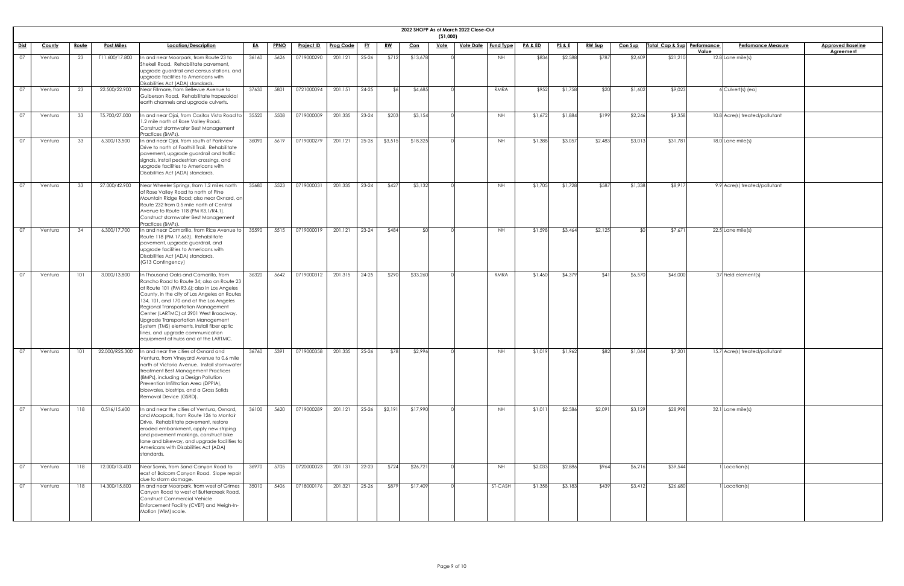|             |         |              |                   |                                                                                                                                                                                                                                                                                                                                                                                                                                                                             |           |      |                   |                  |           |               |            | (51,000)    | 2022 SHOPP As of March 2022 Close-Out |                  |         |                 |               |                |                             |                                    |                                              |
|-------------|---------|--------------|-------------------|-----------------------------------------------------------------------------------------------------------------------------------------------------------------------------------------------------------------------------------------------------------------------------------------------------------------------------------------------------------------------------------------------------------------------------------------------------------------------------|-----------|------|-------------------|------------------|-----------|---------------|------------|-------------|---------------------------------------|------------------|---------|-----------------|---------------|----------------|-----------------------------|------------------------------------|----------------------------------------------|
| <u>Dist</u> | County  | <u>Route</u> | <b>Post Miles</b> | Location/Description                                                                                                                                                                                                                                                                                                                                                                                                                                                        | <u>EA</u> | PPNO | <u>Project ID</u> | <b>Prog Code</b> | <u>FY</u> | <u>RW</u>     | <u>Con</u> | <u>Vote</u> | <u>Vote Date</u>                      | <b>Fund Type</b> | PA&ED   | <b>PS&amp;E</b> | <u>RW Sup</u> | <b>Con Sup</b> | Total Cap & Sup Performance | <b>Perfomance Measure</b><br>Value | <b>Approved Baseline</b><br><b>Agreement</b> |
| 07          | Ventura | 23           | T11.600/17.800    | In and near Moorpark, from Route 23 to<br>Shekell Road. Rehabilitate pavement,<br>upgrade guardrail and census stations, and<br>upgrade facilities to Americans with<br>Disabilities Act (ADA) standards.                                                                                                                                                                                                                                                                   | 36160     | 5626 | 0719000290        | 201.121          | $25 - 26$ | \$712         | \$13,678   |             |                                       | NH               | \$836   | \$2,588         | \$787         | \$2,609        | \$21,210                    | $12.8$ Lane mile(s)                |                                              |
| 07          | Ventura | 23           | 22.500/22.900     | Near Fillmore, from Bellevue Avenue to<br>Guiberson Road. Rehabilitate trapezoidal<br>earth channels and upgrade culverts.                                                                                                                                                                                                                                                                                                                                                  | 37630     | 5801 | 0721000094        | 201.151          | $24 - 25$ | $\mathcal{L}$ | \$4,685    |             |                                       | RMRA             | \$952   | \$1,758         | \$20          | \$1,602        | \$9,023                     | $6$ Culvert(s) (ea)                |                                              |
| 07          | Ventura | 33           | T5.700/27.000     | In and near Ojai, from Casitas Vista Road to<br>1.2 mile north of Rose Valley Road.<br>Construct stormwater Best Management<br>Practices (BMPs).                                                                                                                                                                                                                                                                                                                            | 35520     | 5508 | 0719000009        | 201.335          | $23 - 24$ | \$203         | \$3,154    |             |                                       | <b>NH</b>        | \$1,672 | \$1,884         | \$199         | \$2,246        | \$9,358                     | 10.8 Acre(s) treated/pollutant     |                                              |
| 07          | Ventura | 33           | 6.300/13.500      | In and near Ojai, from south of Parkview<br>Drive to north of Foothill Trail. Rehabilitate<br>pavement, upgrade guardrail and traffic<br>signals, install pedestrian crossings, and<br>upgrade facilities to Americans with<br>Disabilities Act (ADA) standards.                                                                                                                                                                                                            | 36090     | 5619 | 0719000279        | 201.121          | $25 - 26$ | \$3,515       | \$18,325   |             |                                       | <b>NH</b>        | \$1,388 | \$3,057         | \$2,483       | \$3,013        | \$31,781                    | $18.0$ Lane mile(s)                |                                              |
| 07          | Ventura | 33           | 27.000/42.900     | Near Wheeler Springs, from 1.2 miles north<br>of Rose Valley Road to north of Pine<br>Mountain Ridge Road; also near Oxnard, on<br>Route 232 from 0.5 mile north of Central<br>Avenue to Route 118 (PM R3.1/R4.1).<br>Construct stormwater Best Management<br>Practices (BMPs).                                                                                                                                                                                             | 35680     | 5523 | 0719000031        | 201.335          | $23 - 24$ | \$427         | \$3,132    |             |                                       | NH               | \$1,705 | \$1,728         | \$587         | \$1,338        | \$8,917                     | 9.9 Acre(s) treated/pollutant      |                                              |
| 07          | Ventura | 34           | 6.300/17.700      | In and near Camarillo, from Rice Avenue to<br>Route 118 (PM 17.663). Rehabilitate<br>pavement, upgrade guardrail, and<br>upgrade facilities to Americans with<br>Disabilities Act (ADA) standards.<br>(G13 Contingency)                                                                                                                                                                                                                                                     | 35590     | 5515 | 0719000019        | 201.121          | $23 - 24$ | \$484         | ึ ¢∩       |             |                                       | NH               | \$1,598 | \$3,464         | \$2,125       | ደቦ             | \$7,671                     | $22.5$ Lane mile(s)                |                                              |
| 07          | Ventura | 101          | 3.000/13.800      | In Thousand Oaks and Camarillo, from<br>Rancho Road to Route 34; also on Route 23<br>at Route 101 (PM R3.6); also in Los Angeles<br>County, in the city of Los Angeles on Routes<br>134, 101, and 170 and at the Los Angeles<br>Regional Transportation Management<br>Center (LARTMC) at 2901 West Broadway.<br>Upgrade Transportation Management<br>System (TMS) elements, install fiber optic<br>lines, and upgrade communication<br>equipment at hubs and at the LARTMC. | 36320     | 5642 | 0719000312        | 201.315          | $24 - 25$ | \$290         | \$33,260   |             |                                       | RMRA             | \$1,460 | \$4,379         | \$41          | \$6,570        | \$46,000                    | 37 Field element(s)                |                                              |
| 07          | Ventura | 101          | 22.000/R25.300    | In and near the cities of Oxnard and<br>Ventura, from Vineyard Avenue to 0.6 mile<br>north of Victoria Avenue. Install stormwater<br>treatment Best Management Practices<br>(BMPs), including a Design Pollution<br>Prevention Infiltration Area (DPPIA),<br>bioswales, biostrips, and a Gross Solids<br>Removal Device (GSRD).                                                                                                                                             | 36760     | 5391 | 0719000358        | 201.335          | $25 - 26$ | \$78          | \$2,996    |             |                                       | NH               | \$1,019 | \$1,962         | \$82          | \$1,064        | \$7,201                     | 15.7 Acre(s) treated/pollutant     |                                              |
| 07          | Ventura | 118          | 0.516/15.600      | In and near the cities of Ventura, Oxnard,<br>and Moorpark, from Route 126 to Montair<br>Drive. Rehabilitate pavement, restore<br>eroded embankment, apply new striping<br>and pavement markings, construct bike<br>lane and bikeway, and upgrade facilities to<br>Americans with Disabilities Act (ADA)<br>standards.                                                                                                                                                      | 36100     | 5620 | 0719000289        | 201.121          | $25 - 26$ | \$2,191       | \$17,990   |             |                                       | <b>NH</b>        | \$1,011 | \$2,586         | \$2,091       | \$3,129        | \$28,998                    | $32.1$ Lane mile(s)                |                                              |
| 07          | Ventura | 118          | 12.000/13.400     | Near Somis, from Sand Canyon Road to<br>east of Balcom Canyon Road. Slope repair<br>due to storm damage.                                                                                                                                                                                                                                                                                                                                                                    | 36970     | 5705 | 0720000023        | 201.131          | 22-23     | \$724         | \$26,721   |             |                                       | <b>NH</b>        | \$2,033 | \$2,886         | \$964         | \$6,216        | \$39,544                    | Location(s)                        |                                              |
| 07          | Ventura | 118          | 14.300/15.800     | In and near Moorpark, from west of Grimes<br>Canyon Road to west of Buttercreek Road.<br><b>Construct Commercial Vehicle</b><br>Enforcement Facility (CVEF) and Weigh-In-<br>Motion (WIM) scale.                                                                                                                                                                                                                                                                            | 35010     | 5406 | 0718000176        | 201.321          | 25-26     | \$879         | \$17,409   |             |                                       | ST-CASH          | \$1,358 | \$3,183         | \$439         | \$3,412        | \$26,680                    | Iccation(s)                        |                                              |